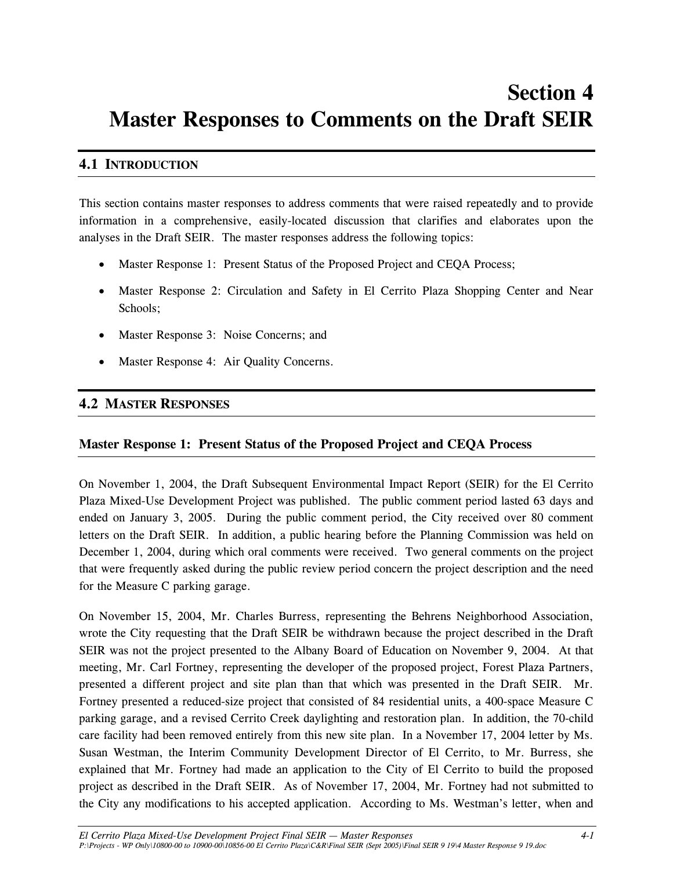# **Section 4 Master Responses to Comments on the Draft SEIR**

## **4.1 INTRODUCTION**

This section contains master responses to address comments that were raised repeatedly and to provide information in a comprehensive, easily-located discussion that clarifies and elaborates upon the analyses in the Draft SEIR. The master responses address the following topics:

- Master Response 1: Present Status of the Proposed Project and CEQA Process;
- Master Response 2: Circulation and Safety in El Cerrito Plaza Shopping Center and Near Schools;
- Master Response 3: Noise Concerns; and
- Master Response 4:Air Quality Concerns.

## **4.2 MASTER RESPONSES**

#### **Master Response 1: Present Status of the Proposed Project and CEQA Process**

On November 1, 2004, the Draft Subsequent Environmental Impact Report (SEIR) for the El Cerrito Plaza Mixed-Use Development Project was published. The public comment period lasted 63 days and ended on January 3, 2005. During the public comment period, the City received over 80 comment letters on the Draft SEIR. In addition, a public hearing before the Planning Commission was held on December 1, 2004, during which oral comments were received. Two general comments on the project that were frequently asked during the public review period concern the project description and the need for the Measure C parking garage.

On November 15, 2004, Mr. Charles Burress, representing the Behrens Neighborhood Association, wrote the City requesting that the Draft SEIR be withdrawn because the project described in the Draft SEIR was not the project presented to the Albany Board of Education on November 9, 2004. At that meeting, Mr. Carl Fortney, representing the developer of the proposed project, Forest Plaza Partners, presented a different project and site plan than that which was presented in the Draft SEIR. Mr. Fortney presented a reduced-size project that consisted of 84 residential units, a 400-space Measure C parking garage, and a revised Cerrito Creek daylighting and restoration plan. In addition, the 70-child care facility had been removed entirely from this new site plan. In a November 17, 2004 letter by Ms. Susan Westman, the Interim Community Development Director of El Cerrito, to Mr. Burress, she explained that Mr. Fortney had made an application to the City of El Cerrito to build the proposed project as described in the Draft SEIR. As of November 17, 2004, Mr. Fortney had not submitted to the City any modifications to his accepted application. According to Ms. Westman's letter, when and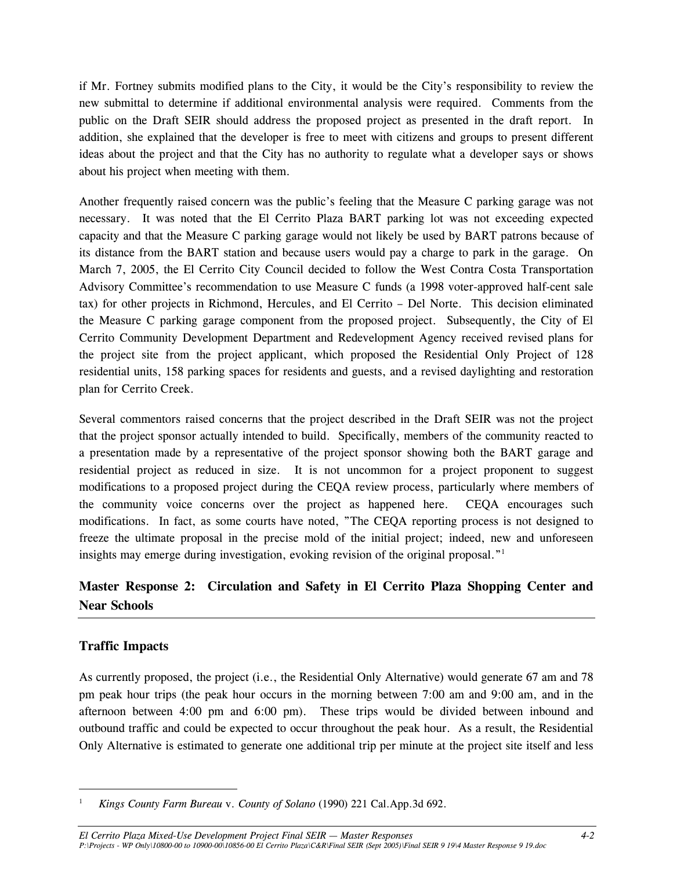if Mr. Fortney submits modified plans to the City, it would be the City's responsibility to review the new submittal to determine if additional environmental analysis were required. Comments from the public on the Draft SEIR should address the proposed project as presented in the draft report. In addition, she explained that the developer is free to meet with citizens and groups to present different ideas about the project and that the City has no authority to regulate what a developer says or shows about his project when meeting with them.

Another frequently raised concern was the public's feeling that the Measure C parking garage was not necessary. It was noted that the El Cerrito Plaza BART parking lot was not exceeding expected capacity and that the Measure C parking garage would not likely be used by BART patrons because of its distance from the BART station and because users would pay a charge to park in the garage. On March 7, 2005, the El Cerrito City Council decided to follow the West Contra Costa Transportation Advisory Committee's recommendation to use Measure C funds (a 1998 voter-approved half-cent sale tax) for other projects in Richmond, Hercules, and El Cerrito – Del Norte. This decision eliminated the Measure C parking garage component from the proposed project. Subsequently, the City of El Cerrito Community Development Department and Redevelopment Agency received revised plans for the project site from the project applicant, which proposed the Residential Only Project of 128 residential units, 158 parking spaces for residents and guests, and a revised daylighting and restoration plan for Cerrito Creek.

Several commentors raised concerns that the project described in the Draft SEIR was not the project that the project sponsor actually intended to build. Specifically, members of the community reacted to a presentation made by a representative of the project sponsor showing both the BART garage and residential project as reduced in size. It is not uncommon for a project proponent to suggest modifications to a proposed project during the CEQA review process, particularly where members of the community voice concerns over the project as happened here. CEQA encourages such modifications. In fact, as some courts have noted, "The CEQA reporting process is not designed to freeze the ultimate proposal in the precise mold of the initial project; indeed, new and unforeseen insights may emerge during investigation, evoking revision of the original proposal."<sup>1</sup>

# **Master Response 2: Circulation and Safety in El Cerrito Plaza Shopping Center and Near Schools**

## **Traffic Impacts**

As currently proposed, the project (i.e., the Residential Only Alternative) would generate 67 am and 78 pm peak hour trips (the peak hour occurs in the morning between 7:00 am and 9:00 am, and in the afternoon between 4:00 pm and 6:00 pm). These trips would be divided between inbound and outbound traffic and could be expected to occur throughout the peak hour. As a result, the Residential Only Alternative is estimated to generate one additional trip per minute at the project site itself and less

<sup>1</sup> *Kings County Farm Bureau* v. *County of Solano* (1990) 221 Cal.App.3d 692.

*El Cerrito Plaza Mixed-Use Development Project Final SEIR — Master Responses 4-2 P:\Projects - WP Only\10800-00 to 10900-00\10856-00 El Cerrito Plaza\C&R\Final SEIR (Sept 2005)\Final SEIR 9 19\4 Master Response 9 19.doc*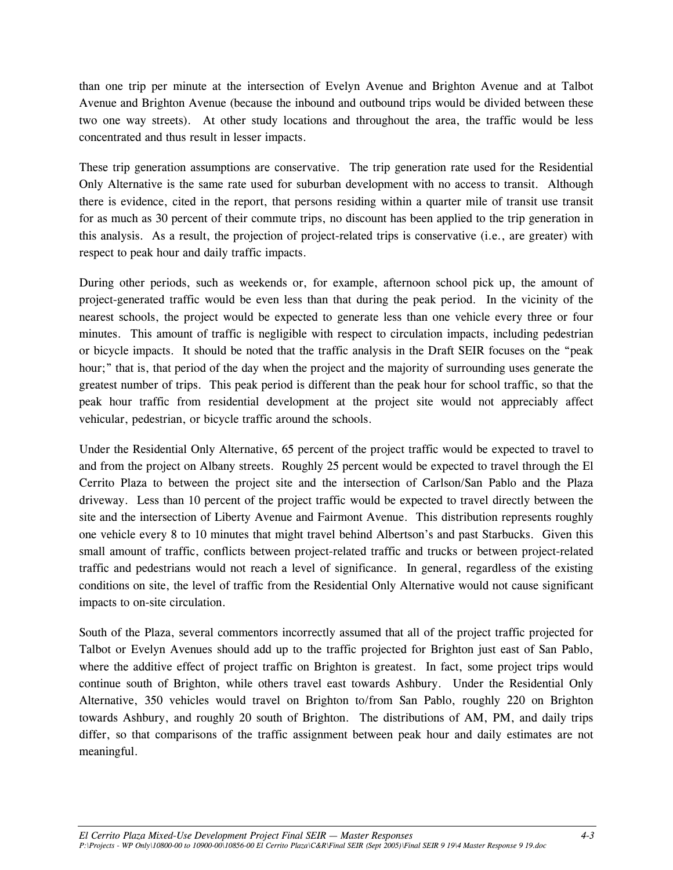than one trip per minute at the intersection of Evelyn Avenue and Brighton Avenue and at Talbot Avenue and Brighton Avenue (because the inbound and outbound trips would be divided between these two one way streets). At other study locations and throughout the area, the traffic would be less concentrated and thus result in lesser impacts.

These trip generation assumptions are conservative. The trip generation rate used for the Residential Only Alternative is the same rate used for suburban development with no access to transit. Although there is evidence, cited in the report, that persons residing within a quarter mile of transit use transit for as much as 30 percent of their commute trips, no discount has been applied to the trip generation in this analysis. As a result, the projection of project-related trips is conservative (i.e., are greater) with respect to peak hour and daily traffic impacts.

During other periods, such as weekends or, for example, afternoon school pick up, the amount of project-generated traffic would be even less than that during the peak period. In the vicinity of the nearest schools, the project would be expected to generate less than one vehicle every three or four minutes. This amount of traffic is negligible with respect to circulation impacts, including pedestrian or bicycle impacts. It should be noted that the traffic analysis in the Draft SEIR focuses on the "peak hour;" that is, that period of the day when the project and the majority of surrounding uses generate the greatest number of trips. This peak period is different than the peak hour for school traffic, so that the peak hour traffic from residential development at the project site would not appreciably affect vehicular, pedestrian, or bicycle traffic around the schools.

Under the Residential Only Alternative, 65 percent of the project traffic would be expected to travel to and from the project on Albany streets. Roughly 25 percent would be expected to travel through the El Cerrito Plaza to between the project site and the intersection of Carlson/San Pablo and the Plaza driveway. Less than 10 percent of the project traffic would be expected to travel directly between the site and the intersection of Liberty Avenue and Fairmont Avenue. This distribution represents roughly one vehicle every 8 to 10 minutes that might travel behind Albertson's and past Starbucks. Given this small amount of traffic, conflicts between project-related traffic and trucks or between project-related traffic and pedestrians would not reach a level of significance. In general, regardless of the existing conditions on site, the level of traffic from the Residential Only Alternative would not cause significant impacts to on-site circulation.

South of the Plaza, several commentors incorrectly assumed that all of the project traffic projected for Talbot or Evelyn Avenues should add up to the traffic projected for Brighton just east of San Pablo, where the additive effect of project traffic on Brighton is greatest. In fact, some project trips would continue south of Brighton, while others travel east towards Ashbury. Under the Residential Only Alternative, 350 vehicles would travel on Brighton to/from San Pablo, roughly 220 on Brighton towards Ashbury, and roughly 20 south of Brighton. The distributions of AM, PM, and daily trips differ, so that comparisons of the traffic assignment between peak hour and daily estimates are not meaningful.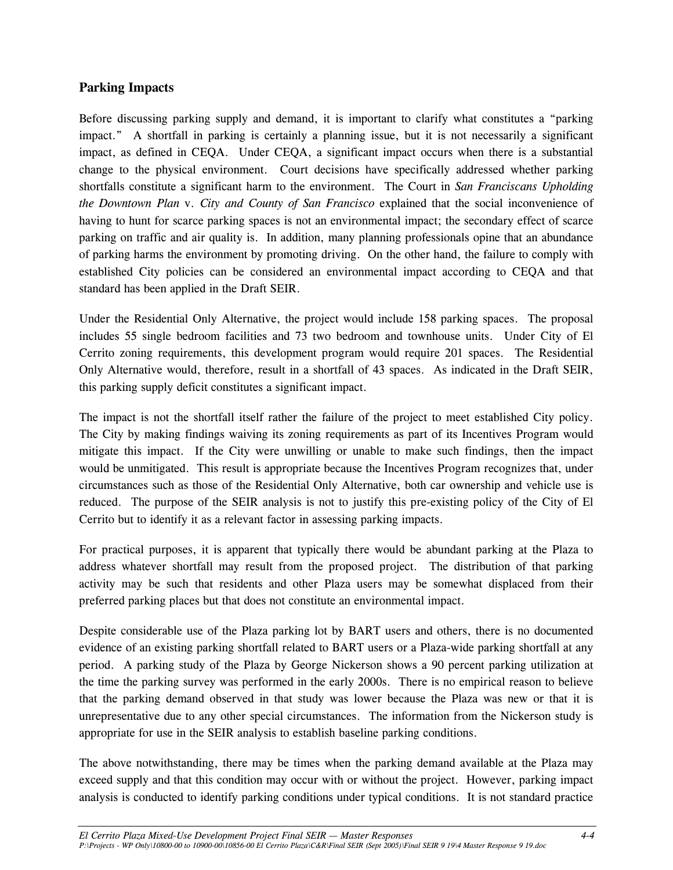#### **Parking Impacts**

Before discussing parking supply and demand, it is important to clarify what constitutes a "parking impact." A shortfall in parking is certainly a planning issue, but it is not necessarily a significant impact, as defined in CEQA. Under CEQA, a significant impact occurs when there is a substantial change to the physical environment. Court decisions have specifically addressed whether parking shortfalls constitute a significant harm to the environment. The Court in *San Franciscans Upholding the Downtown Plan* v. *City and County of San Francisco* explained that the social inconvenience of having to hunt for scarce parking spaces is not an environmental impact; the secondary effect of scarce parking on traffic and air quality is. In addition, many planning professionals opine that an abundance of parking harms the environment by promoting driving. On the other hand, the failure to comply with established City policies can be considered an environmental impact according to CEQA and that standard has been applied in the Draft SEIR.

Under the Residential Only Alternative, the project would include 158 parking spaces. The proposal includes 55 single bedroom facilities and 73 two bedroom and townhouse units. Under City of El Cerrito zoning requirements, this development program would require 201 spaces. The Residential Only Alternative would, therefore, result in a shortfall of 43 spaces. As indicated in the Draft SEIR, this parking supply deficit constitutes a significant impact.

The impact is not the shortfall itself rather the failure of the project to meet established City policy. The City by making findings waiving its zoning requirements as part of its Incentives Program would mitigate this impact. If the City were unwilling or unable to make such findings, then the impact would be unmitigated. This result is appropriate because the Incentives Program recognizes that, under circumstances such as those of the Residential Only Alternative, both car ownership and vehicle use is reduced. The purpose of the SEIR analysis is not to justify this pre-existing policy of the City of El Cerrito but to identify it as a relevant factor in assessing parking impacts.

For practical purposes, it is apparent that typically there would be abundant parking at the Plaza to address whatever shortfall may result from the proposed project. The distribution of that parking activity may be such that residents and other Plaza users may be somewhat displaced from their preferred parking places but that does not constitute an environmental impact.

Despite considerable use of the Plaza parking lot by BART users and others, there is no documented evidence of an existing parking shortfall related to BART users or a Plaza-wide parking shortfall at any period. A parking study of the Plaza by George Nickerson shows a 90 percent parking utilization at the time the parking survey was performed in the early 2000s. There is no empirical reason to believe that the parking demand observed in that study was lower because the Plaza was new or that it is unrepresentative due to any other special circumstances. The information from the Nickerson study is appropriate for use in the SEIR analysis to establish baseline parking conditions.

The above notwithstanding, there may be times when the parking demand available at the Plaza may exceed supply and that this condition may occur with or without the project. However, parking impact analysis is conducted to identify parking conditions under typical conditions. It is not standard practice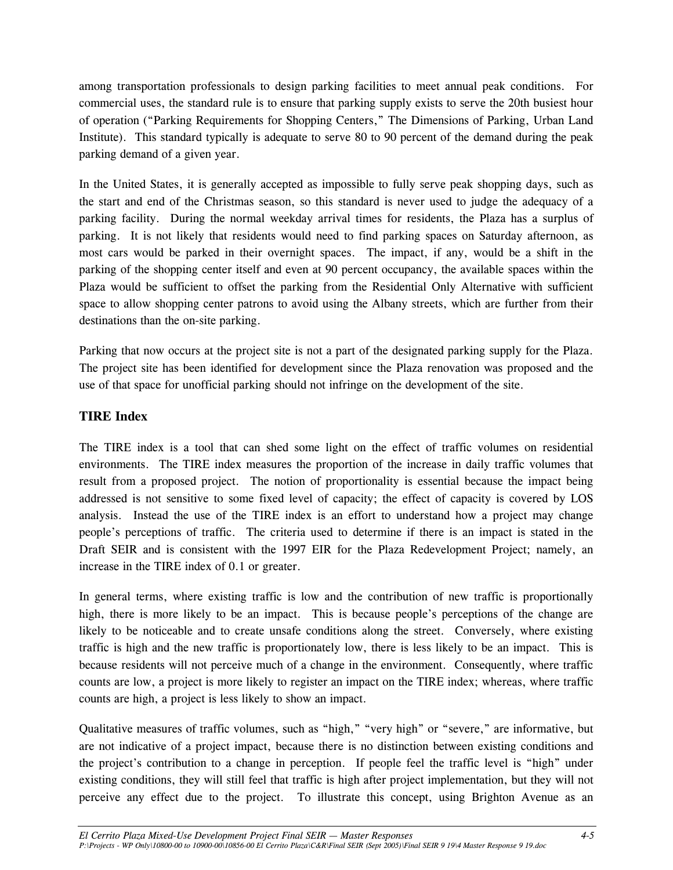among transportation professionals to design parking facilities to meet annual peak conditions. For commercial uses, the standard rule is to ensure that parking supply exists to serve the 20th busiest hour of operation ("Parking Requirements for Shopping Centers," The Dimensions of Parking, Urban Land Institute). This standard typically is adequate to serve 80 to 90 percent of the demand during the peak parking demand of a given year.

In the United States, it is generally accepted as impossible to fully serve peak shopping days, such as the start and end of the Christmas season, so this standard is never used to judge the adequacy of a parking facility. During the normal weekday arrival times for residents, the Plaza has a surplus of parking. It is not likely that residents would need to find parking spaces on Saturday afternoon, as most cars would be parked in their overnight spaces. The impact, if any, would be a shift in the parking of the shopping center itself and even at 90 percent occupancy, the available spaces within the Plaza would be sufficient to offset the parking from the Residential Only Alternative with sufficient space to allow shopping center patrons to avoid using the Albany streets, which are further from their destinations than the on-site parking.

Parking that now occurs at the project site is not a part of the designated parking supply for the Plaza. The project site has been identified for development since the Plaza renovation was proposed and the use of that space for unofficial parking should not infringe on the development of the site.

#### **TIRE Index**

The TIRE index is a tool that can shed some light on the effect of traffic volumes on residential environments. The TIRE index measures the proportion of the increase in daily traffic volumes that result from a proposed project. The notion of proportionality is essential because the impact being addressed is not sensitive to some fixed level of capacity; the effect of capacity is covered by LOS analysis. Instead the use of the TIRE index is an effort to understand how a project may change people's perceptions of traffic. The criteria used to determine if there is an impact is stated in the Draft SEIR and is consistent with the 1997 EIR for the Plaza Redevelopment Project; namely, an increase in the TIRE index of 0.1 or greater.

In general terms, where existing traffic is low and the contribution of new traffic is proportionally high, there is more likely to be an impact. This is because people's perceptions of the change are likely to be noticeable and to create unsafe conditions along the street. Conversely, where existing traffic is high and the new traffic is proportionately low, there is less likely to be an impact. This is because residents will not perceive much of a change in the environment. Consequently, where traffic counts are low, a project is more likely to register an impact on the TIRE index; whereas, where traffic counts are high, a project is less likely to show an impact.

Qualitative measures of traffic volumes, such as "high," "very high" or "severe," are informative, but are not indicative of a project impact, because there is no distinction between existing conditions and the project's contribution to a change in perception. If people feel the traffic level is "high" under existing conditions, they will still feel that traffic is high after project implementation, but they will not perceive any effect due to the project. To illustrate this concept, using Brighton Avenue as an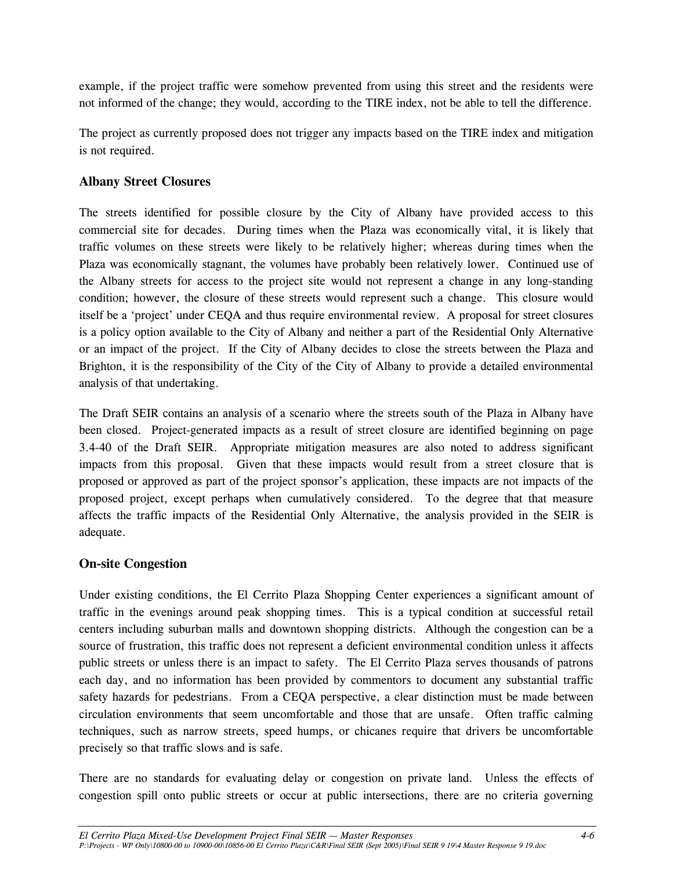example, if the project traffic were somehow prevented from using this street and the residents were not informed of the change; they would, according to the TIRE index, not be able to tell the difference.

The project as currently proposed does not trigger any impacts based on the TIRE index and mitigation is not required.

#### **Albany Street Closures**

The streets identified for possible closure by the City of Albany have provided access to this commercial site for decades. During times when the Plaza was economically vital, it is likely that traffic volumes on these streets were likely to be relatively higher; whereas during times when the Plaza was economically stagnant, the volumes have probably been relatively lower. Continued use of the Albany streets for access to the project site would not represent a change in any long-standing condition; however, the closure of these streets would represent such a change. This closure would itself be a 'project' under CEQA and thus require environmental review. A proposal for street closures is a policy option available to the City of Albany and neither a part of the Residential Only Alternative or an impact of the project. If the City of Albany decides to close the streets between the Plaza and Brighton, it is the responsibility of the City of the City of Albany to provide a detailed environmental analysis of that undertaking.

The Draft SEIR contains an analysis of a scenario where the streets south of the Plaza in Albany have been closed. Project-generated impacts as a result of street closure are identified beginning on page 3.4-40 of the Draft SEIR. Appropriate mitigation measures are also noted to address significant impacts from this proposal. Given that these impacts would result from a street closure that is proposed or approved as part of the project sponsor's application, these impacts are not impacts of the proposed project, except perhaps when cumulatively considered. To the degree that that measure affects the traffic impacts of the Residential Only Alternative, the analysis provided in the SEIR is adequate.

#### **On-site Congestion**

Under existing conditions, the El Cerrito Plaza Shopping Center experiences a significant amount of traffic in the evenings around peak shopping times. This is a typical condition at successful retail centers including suburban malls and downtown shopping districts. Although the congestion can be a source of frustration, this traffic does not represent a deficient environmental condition unless it affects public streets or unless there is an impact to safety. The El Cerrito Plaza serves thousands of patrons each day, and no information has been provided by commentors to document any substantial traffic safety hazards for pedestrians. From a CEQA perspective, a clear distinction must be made between circulation environments that seem uncomfortable and those that are unsafe. Often traffic calming techniques, such as narrow streets, speed humps, or chicanes require that drivers be uncomfortable precisely so that traffic slows and is safe.

There are no standards for evaluating delay or congestion on private land. Unless the effects of congestion spill onto public streets or occur at public intersections, there are no criteria governing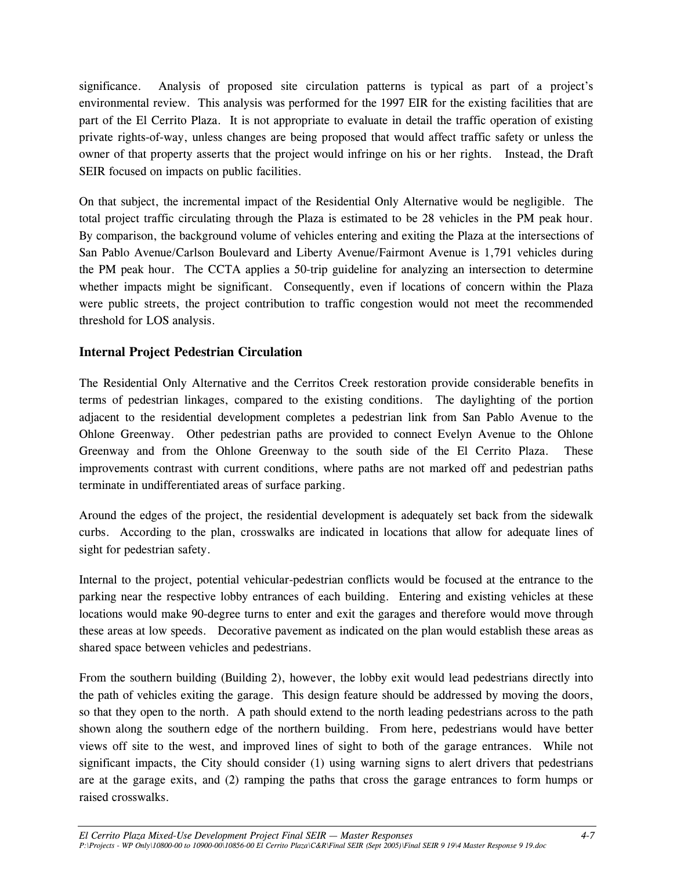significance. Analysis of proposed site circulation patterns is typical as part of a project's environmental review. This analysis was performed for the 1997 EIR for the existing facilities that are part of the El Cerrito Plaza. It is not appropriate to evaluate in detail the traffic operation of existing private rights-of-way, unless changes are being proposed that would affect traffic safety or unless the owner of that property asserts that the project would infringe on his or her rights. Instead, the Draft SEIR focused on impacts on public facilities.

On that subject, the incremental impact of the Residential Only Alternative would be negligible. The total project traffic circulating through the Plaza is estimated to be 28 vehicles in the PM peak hour. By comparison, the background volume of vehicles entering and exiting the Plaza at the intersections of San Pablo Avenue/Carlson Boulevard and Liberty Avenue/Fairmont Avenue is 1,791 vehicles during the PM peak hour. The CCTA applies a 50-trip guideline for analyzing an intersection to determine whether impacts might be significant. Consequently, even if locations of concern within the Plaza were public streets, the project contribution to traffic congestion would not meet the recommended threshold for LOS analysis.

#### **Internal Project Pedestrian Circulation**

The Residential Only Alternative and the Cerritos Creek restoration provide considerable benefits in terms of pedestrian linkages, compared to the existing conditions. The daylighting of the portion adjacent to the residential development completes a pedestrian link from San Pablo Avenue to the Ohlone Greenway. Other pedestrian paths are provided to connect Evelyn Avenue to the Ohlone Greenway and from the Ohlone Greenway to the south side of the El Cerrito Plaza. These improvements contrast with current conditions, where paths are not marked off and pedestrian paths terminate in undifferentiated areas of surface parking.

Around the edges of the project, the residential development is adequately set back from the sidewalk curbs. According to the plan, crosswalks are indicated in locations that allow for adequate lines of sight for pedestrian safety.

Internal to the project, potential vehicular-pedestrian conflicts would be focused at the entrance to the parking near the respective lobby entrances of each building. Entering and existing vehicles at these locations would make 90-degree turns to enter and exit the garages and therefore would move through these areas at low speeds. Decorative pavement as indicated on the plan would establish these areas as shared space between vehicles and pedestrians.

From the southern building (Building 2), however, the lobby exit would lead pedestrians directly into the path of vehicles exiting the garage. This design feature should be addressed by moving the doors, so that they open to the north. A path should extend to the north leading pedestrians across to the path shown along the southern edge of the northern building. From here, pedestrians would have better views off site to the west, and improved lines of sight to both of the garage entrances. While not significant impacts, the City should consider (1) using warning signs to alert drivers that pedestrians are at the garage exits, and (2) ramping the paths that cross the garage entrances to form humps or raised crosswalks.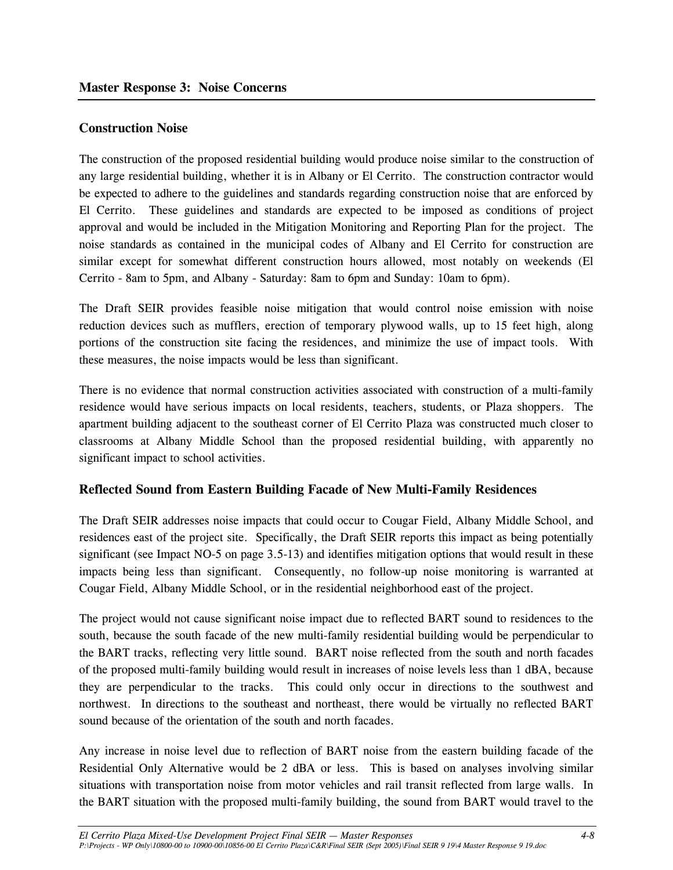#### **Construction Noise**

The construction of the proposed residential building would produce noise similar to the construction of any large residential building, whether it is in Albany or El Cerrito. The construction contractor would be expected to adhere to the guidelines and standards regarding construction noise that are enforced by El Cerrito. These guidelines and standards are expected to be imposed as conditions of project approval and would be included in the Mitigation Monitoring and Reporting Plan for the project. The noise standards as contained in the municipal codes of Albany and El Cerrito for construction are similar except for somewhat different construction hours allowed, most notably on weekends (El Cerrito - 8am to 5pm, and Albany - Saturday: 8am to 6pm and Sunday: 10am to 6pm).

The Draft SEIR provides feasible noise mitigation that would control noise emission with noise reduction devices such as mufflers, erection of temporary plywood walls, up to 15 feet high, along portions of the construction site facing the residences, and minimize the use of impact tools. With these measures, the noise impacts would be less than significant.

There is no evidence that normal construction activities associated with construction of a multi-family residence would have serious impacts on local residents, teachers, students, or Plaza shoppers. The apartment building adjacent to the southeast corner of El Cerrito Plaza was constructed much closer to classrooms at Albany Middle School than the proposed residential building, with apparently no significant impact to school activities.

#### **Reflected Sound from Eastern Building Facade of New Multi-Family Residences**

The Draft SEIR addresses noise impacts that could occur to Cougar Field, Albany Middle School, and residences east of the project site. Specifically, the Draft SEIR reports this impact as being potentially significant (see Impact NO-5 on page 3.5-13) and identifies mitigation options that would result in these impacts being less than significant. Consequently, no follow-up noise monitoring is warranted at Cougar Field, Albany Middle School, or in the residential neighborhood east of the project.

The project would not cause significant noise impact due to reflected BART sound to residences to the south, because the south facade of the new multi-family residential building would be perpendicular to the BART tracks, reflecting very little sound. BART noise reflected from the south and north facades of the proposed multi-family building would result in increases of noise levels less than 1 dBA, because they are perpendicular to the tracks. This could only occur in directions to the southwest and northwest. In directions to the southeast and northeast, there would be virtually no reflected BART sound because of the orientation of the south and north facades.

Any increase in noise level due to reflection of BART noise from the eastern building facade of the Residential Only Alternative would be 2 dBA or less. This is based on analyses involving similar situations with transportation noise from motor vehicles and rail transit reflected from large walls. In the BART situation with the proposed multi-family building, the sound from BART would travel to the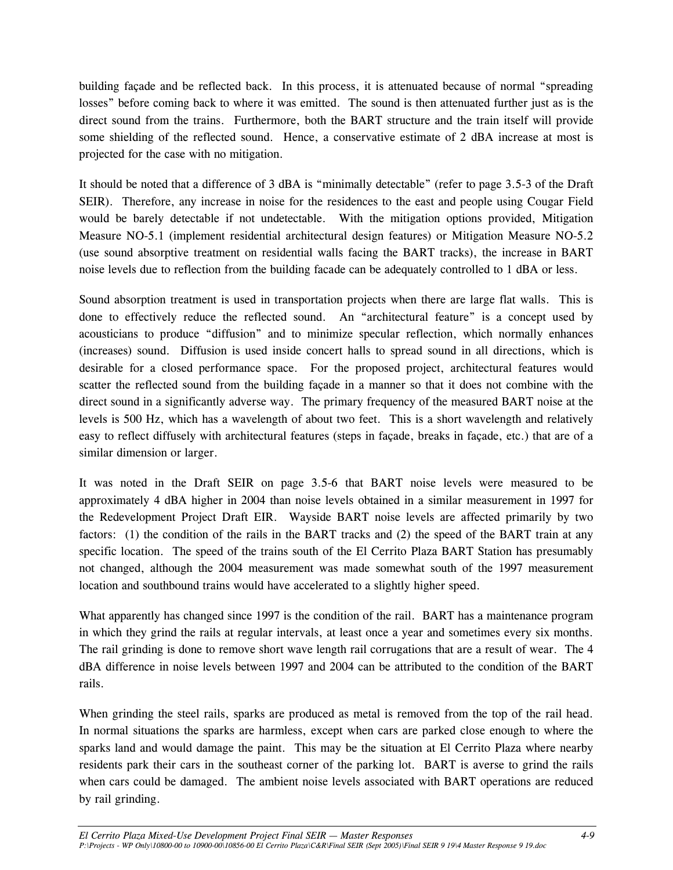building façade and be reflected back. In this process, it is attenuated because of normal "spreading losses" before coming back to where it was emitted. The sound is then attenuated further just as is the direct sound from the trains. Furthermore, both the BART structure and the train itself will provide some shielding of the reflected sound. Hence, a conservative estimate of 2 dBA increase at most is projected for the case with no mitigation.

It should be noted that a difference of 3 dBA is "minimally detectable" (refer to page 3.5-3 of the Draft SEIR). Therefore, any increase in noise for the residences to the east and people using Cougar Field would be barely detectable if not undetectable. With the mitigation options provided, Mitigation Measure NO-5.1 (implement residential architectural design features) or Mitigation Measure NO-5.2 (use sound absorptive treatment on residential walls facing the BART tracks), the increase in BART noise levels due to reflection from the building facade can be adequately controlled to 1 dBA or less.

Sound absorption treatment is used in transportation projects when there are large flat walls. This is done to effectively reduce the reflected sound. An "architectural feature" is a concept used by acousticians to produce "diffusion" and to minimize specular reflection, which normally enhances (increases) sound. Diffusion is used inside concert halls to spread sound in all directions, which is desirable for a closed performance space. For the proposed project, architectural features would scatter the reflected sound from the building façade in a manner so that it does not combine with the direct sound in a significantly adverse way. The primary frequency of the measured BART noise at the levels is 500 Hz, which has a wavelength of about two feet. This is a short wavelength and relatively easy to reflect diffusely with architectural features (steps in façade, breaks in façade, etc.) that are of a similar dimension or larger.

It was noted in the Draft SEIR on page 3.5-6 that BART noise levels were measured to be approximately 4 dBA higher in 2004 than noise levels obtained in a similar measurement in 1997 for the Redevelopment Project Draft EIR. Wayside BART noise levels are affected primarily by two factors: (1) the condition of the rails in the BART tracks and (2) the speed of the BART train at any specific location. The speed of the trains south of the El Cerrito Plaza BART Station has presumably not changed, although the 2004 measurement was made somewhat south of the 1997 measurement location and southbound trains would have accelerated to a slightly higher speed.

What apparently has changed since 1997 is the condition of the rail. BART has a maintenance program in which they grind the rails at regular intervals, at least once a year and sometimes every six months. The rail grinding is done to remove short wave length rail corrugations that are a result of wear. The 4 dBA difference in noise levels between 1997 and 2004 can be attributed to the condition of the BART rails.

When grinding the steel rails, sparks are produced as metal is removed from the top of the rail head. In normal situations the sparks are harmless, except when cars are parked close enough to where the sparks land and would damage the paint. This may be the situation at El Cerrito Plaza where nearby residents park their cars in the southeast corner of the parking lot. BART is averse to grind the rails when cars could be damaged. The ambient noise levels associated with BART operations are reduced by rail grinding.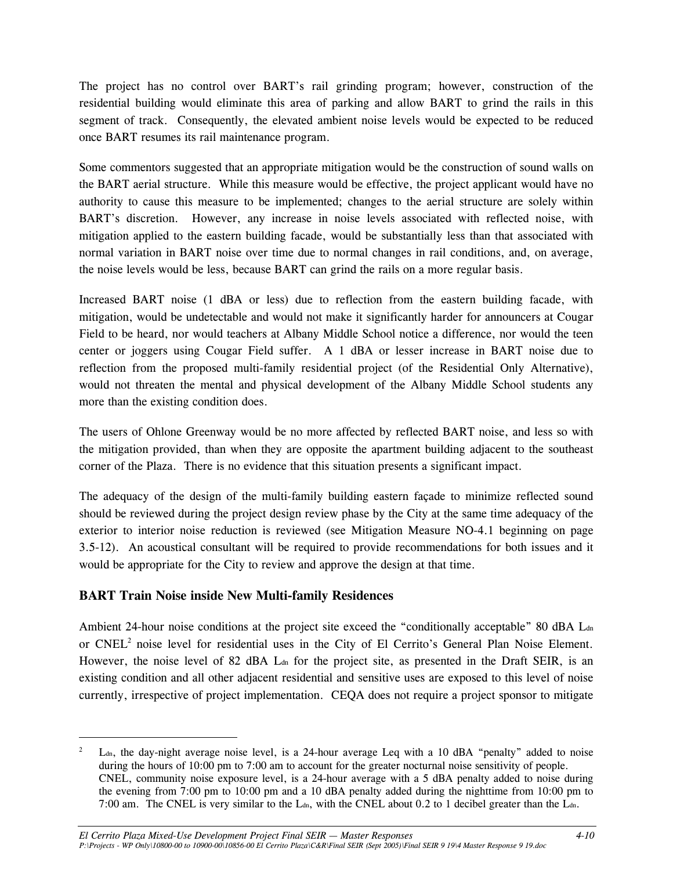The project has no control over BART's rail grinding program; however, construction of the residential building would eliminate this area of parking and allow BART to grind the rails in this segment of track. Consequently, the elevated ambient noise levels would be expected to be reduced once BART resumes its rail maintenance program.

Some commentors suggested that an appropriate mitigation would be the construction of sound walls on the BART aerial structure. While this measure would be effective, the project applicant would have no authority to cause this measure to be implemented; changes to the aerial structure are solely within BART's discretion. However, any increase in noise levels associated with reflected noise, with mitigation applied to the eastern building facade, would be substantially less than that associated with normal variation in BART noise over time due to normal changes in rail conditions, and, on average, the noise levels would be less, because BART can grind the rails on a more regular basis.

Increased BART noise (1 dBA or less) due to reflection from the eastern building facade, with mitigation, would be undetectable and would not make it significantly harder for announcers at Cougar Field to be heard, nor would teachers at Albany Middle School notice a difference, nor would the teen center or joggers using Cougar Field suffer. A 1 dBA or lesser increase in BART noise due to reflection from the proposed multi-family residential project (of the Residential Only Alternative), would not threaten the mental and physical development of the Albany Middle School students any more than the existing condition does.

The users of Ohlone Greenway would be no more affected by reflected BART noise, and less so with the mitigation provided, than when they are opposite the apartment building adjacent to the southeast corner of the Plaza. There is no evidence that this situation presents a significant impact.

The adequacy of the design of the multi-family building eastern façade to minimize reflected sound should be reviewed during the project design review phase by the City at the same time adequacy of the exterior to interior noise reduction is reviewed (see Mitigation Measure NO-4.1 beginning on page 3.5-12). An acoustical consultant will be required to provide recommendations for both issues and it would be appropriate for the City to review and approve the design at that time.

#### **BART Train Noise inside New Multi-family Residences**

-

Ambient 24-hour noise conditions at the project site exceed the "conditionally acceptable" 80 dBA L<sub>dn</sub> or  $CNEL<sup>2</sup>$  noise level for residential uses in the City of El Cerrito's General Plan Noise Element. However, the noise level of 82 dBA L<sub>dn</sub> for the project site, as presented in the Draft SEIR, is an existing condition and all other adjacent residential and sensitive uses are exposed to this level of noise currently, irrespective of project implementation. CEQA does not require a project sponsor to mitigate

<sup>2</sup> Ldn, the day-night average noise level, is a 24-hour average Leq with a 10 dBA "penalty" added to noise during the hours of 10:00 pm to 7:00 am to account for the greater nocturnal noise sensitivity of people. CNEL, community noise exposure level, is a 24-hour average with a 5 dBA penalty added to noise during the evening from 7:00 pm to 10:00 pm and a 10 dBA penalty added during the nighttime from 10:00 pm to 7:00 am. The CNEL is very similar to the L<sub>dn</sub>, with the CNEL about 0.2 to 1 decibel greater than the L<sub>dn</sub>.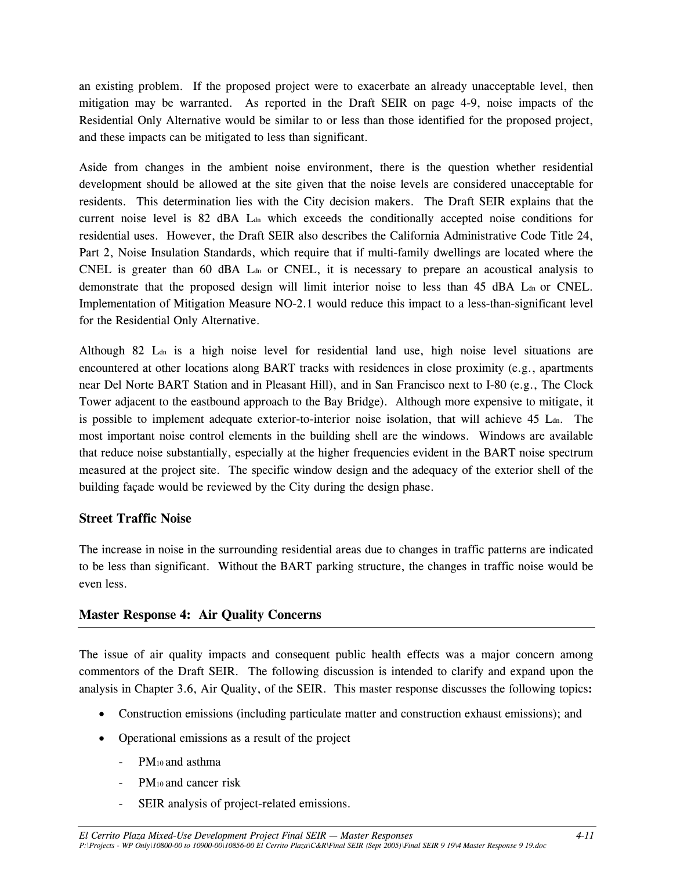an existing problem. If the proposed project were to exacerbate an already unacceptable level, then mitigation may be warranted. As reported in the Draft SEIR on page 4-9, noise impacts of the Residential Only Alternative would be similar to or less than those identified for the proposed project, and these impacts can be mitigated to less than significant.

Aside from changes in the ambient noise environment, there is the question whether residential development should be allowed at the site given that the noise levels are considered unacceptable for residents. This determination lies with the City decision makers. The Draft SEIR explains that the current noise level is 82 dBA L<sub>dn</sub> which exceeds the conditionally accepted noise conditions for residential uses. However, the Draft SEIR also describes the California Administrative Code Title 24, Part 2, Noise Insulation Standards, which require that if multi-family dwellings are located where the CNEL is greater than 60 dBA  $L_{dn}$  or CNEL, it is necessary to prepare an acoustical analysis to demonstrate that the proposed design will limit interior noise to less than  $45$  dBA L<sub>dn</sub> or CNEL. Implementation of Mitigation Measure NO-2.1 would reduce this impact to a less-than-significant level for the Residential Only Alternative.

Although 82 L<sub>dn</sub> is a high noise level for residential land use, high noise level situations are encountered at other locations along BART tracks with residences in close proximity (e.g., apartments near Del Norte BART Station and in Pleasant Hill), and in San Francisco next to I-80 (e.g., The Clock Tower adjacent to the eastbound approach to the Bay Bridge). Although more expensive to mitigate, it is possible to implement adequate exterior-to-interior noise isolation, that will achieve  $45$  L<sub>dn</sub>. The most important noise control elements in the building shell are the windows. Windows are available that reduce noise substantially, especially at the higher frequencies evident in the BART noise spectrum measured at the project site. The specific window design and the adequacy of the exterior shell of the building façade would be reviewed by the City during the design phase.

#### **Street Traffic Noise**

The increase in noise in the surrounding residential areas due to changes in traffic patterns are indicated to be less than significant. Without the BART parking structure, the changes in traffic noise would be even less.

#### **Master Response 4: Air Quality Concerns**

The issue of air quality impacts and consequent public health effects was a major concern among commentors of the Draft SEIR. The following discussion is intended to clarify and expand upon the analysis in Chapter 3.6, Air Quality, of the SEIR. This master response discusses the following topics**:**

- Construction emissions (including particulate matter and construction exhaust emissions); and
- Operational emissions as a result of the project
	- PM10 and asthma
	- PM<sub>10</sub> and cancer risk
	- SEIR analysis of project-related emissions.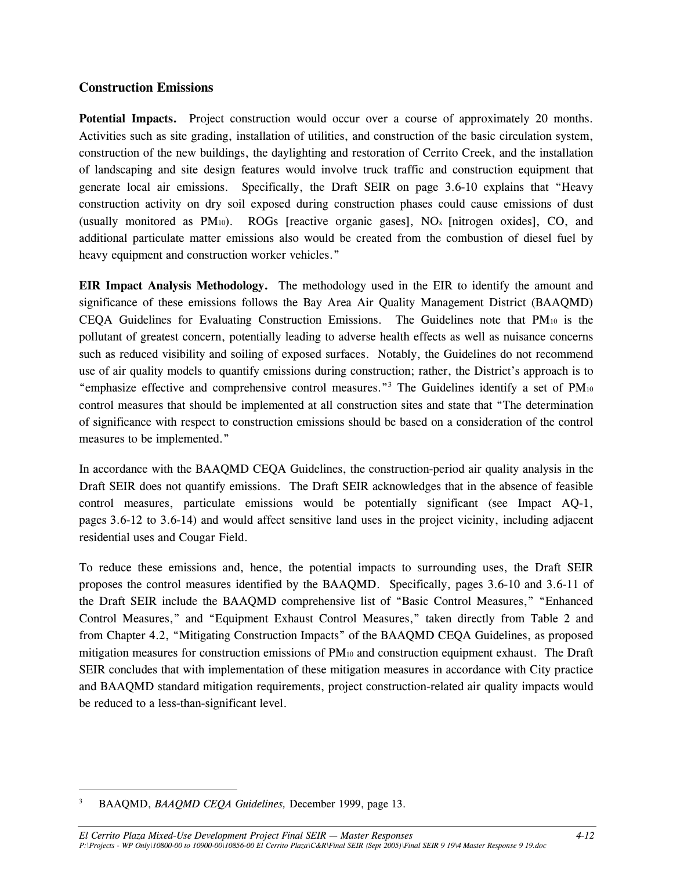#### **Construction Emissions**

**Potential Impacts.** Project construction would occur over a course of approximately 20 months. Activities such as site grading, installation of utilities, and construction of the basic circulation system, construction of the new buildings, the daylighting and restoration of Cerrito Creek, and the installation of landscaping and site design features would involve truck traffic and construction equipment that generate local air emissions. Specifically, the Draft SEIR on page 3.6-10 explains that "Heavy construction activity on dry soil exposed during construction phases could cause emissions of dust (usually monitored as  $PM_{10}$ ). ROGs [reactive organic gases], NO<sub>x</sub> [nitrogen oxides], CO, and additional particulate matter emissions also would be created from the combustion of diesel fuel by heavy equipment and construction worker vehicles."

**EIR Impact Analysis Methodology.** The methodology used in the EIR to identify the amount and significance of these emissions follows the Bay Area Air Quality Management District (BAAQMD) CEQA Guidelines for Evaluating Construction Emissions. The Guidelines note that PM10 is the pollutant of greatest concern, potentially leading to adverse health effects as well as nuisance concerns such as reduced visibility and soiling of exposed surfaces. Notably, the Guidelines do not recommend use of air quality models to quantify emissions during construction; rather, the District's approach is to "emphasize effective and comprehensive control measures."3 The Guidelines identify a set of PM10 control measures that should be implemented at all construction sites and state that "The determination of significance with respect to construction emissions should be based on a consideration of the control measures to be implemented."

In accordance with the BAAQMD CEQA Guidelines, the construction-period air quality analysis in the Draft SEIR does not quantify emissions. The Draft SEIR acknowledges that in the absence of feasible control measures, particulate emissions would be potentially significant (see Impact AQ-1, pages 3.6-12 to 3.6-14) and would affect sensitive land uses in the project vicinity, including adjacent residential uses and Cougar Field.

To reduce these emissions and, hence, the potential impacts to surrounding uses, the Draft SEIR proposes the control measures identified by the BAAQMD. Specifically, pages 3.6-10 and 3.6-11 of the Draft SEIR include the BAAQMD comprehensive list of "Basic Control Measures," "Enhanced Control Measures," and "Equipment Exhaust Control Measures," taken directly from Table 2 and from Chapter 4.2, "Mitigating Construction Impacts" of the BAAQMD CEQA Guidelines, as proposed mitigation measures for construction emissions of PM10 and construction equipment exhaust. The Draft SEIR concludes that with implementation of these mitigation measures in accordance with City practice and BAAQMD standard mitigation requirements, project construction-related air quality impacts would be reduced to a less-than-significant level.

<sup>3</sup> BAAQMD, *BAAQMD CEQA Guidelines,* December 1999, page 13.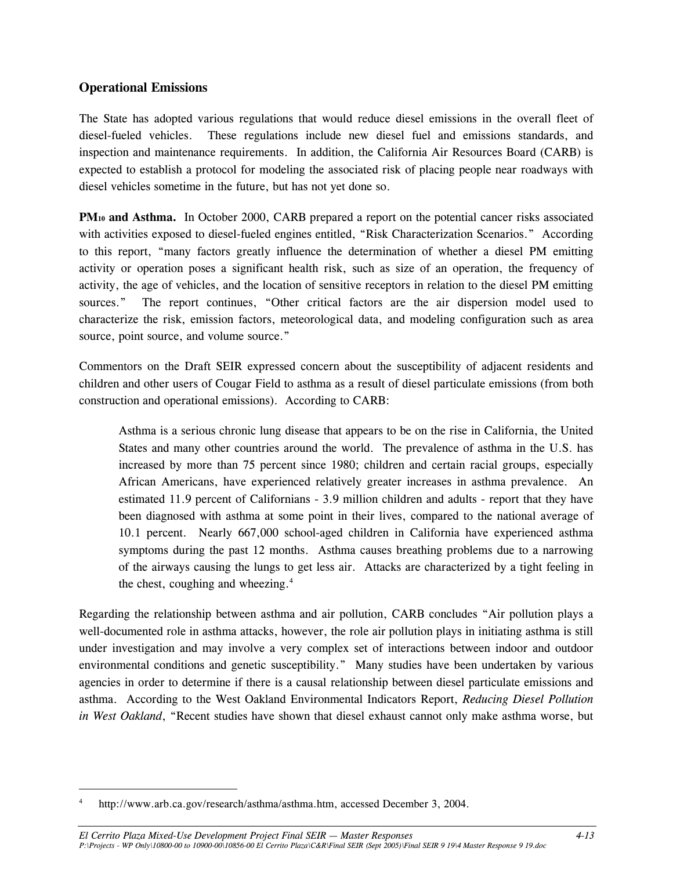#### **Operational Emissions**

The State has adopted various regulations that would reduce diesel emissions in the overall fleet of diesel-fueled vehicles. These regulations include new diesel fuel and emissions standards, and inspection and maintenance requirements. In addition, the California Air Resources Board (CARB) is expected to establish a protocol for modeling the associated risk of placing people near roadways with diesel vehicles sometime in the future, but has not yet done so.

**PM<sub>10</sub> and Asthma.** In October 2000, CARB prepared a report on the potential cancer risks associated with activities exposed to diesel-fueled engines entitled, "Risk Characterization Scenarios." According to this report, "many factors greatly influence the determination of whether a diesel PM emitting activity or operation poses a significant health risk, such as size of an operation, the frequency of activity, the age of vehicles, and the location of sensitive receptors in relation to the diesel PM emitting sources." The report continues, "Other critical factors are the air dispersion model used to characterize the risk, emission factors, meteorological data, and modeling configuration such as area source, point source, and volume source."

Commentors on the Draft SEIR expressed concern about the susceptibility of adjacent residents and children and other users of Cougar Field to asthma as a result of diesel particulate emissions (from both construction and operational emissions). According to CARB:

Asthma is a serious chronic lung disease that appears to be on the rise in California, the United States and many other countries around the world. The prevalence of asthma in the U.S. has increased by more than 75 percent since 1980; children and certain racial groups, especially African Americans, have experienced relatively greater increases in asthma prevalence. An estimated 11.9 percent of Californians - 3.9 million children and adults - report that they have been diagnosed with asthma at some point in their lives, compared to the national average of 10.1 percent. Nearly 667,000 school-aged children in California have experienced asthma symptoms during the past 12 months. Asthma causes breathing problems due to a narrowing of the airways causing the lungs to get less air. Attacks are characterized by a tight feeling in the chest, coughing and wheezing. $4$ 

Regarding the relationship between asthma and air pollution, CARB concludes "Air pollution plays a well-documented role in asthma attacks, however, the role air pollution plays in initiating asthma is still under investigation and may involve a very complex set of interactions between indoor and outdoor environmental conditions and genetic susceptibility." Many studies have been undertaken by various agencies in order to determine if there is a causal relationship between diesel particulate emissions and asthma. According to the West Oakland Environmental Indicators Report, *Reducing Diesel Pollution in West Oakland*, "Recent studies have shown that diesel exhaust cannot only make asthma worse, but

<sup>4</sup> http://www.arb.ca.gov/research/asthma/asthma.htm, accessed December 3, 2004.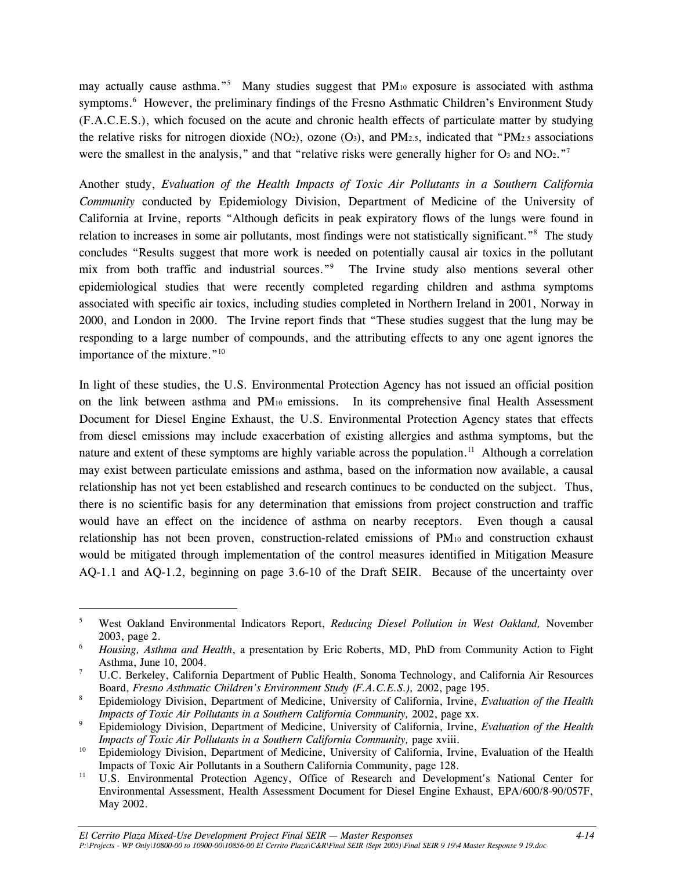may actually cause asthma."<sup>5</sup> Many studies suggest that PM<sub>10</sub> exposure is associated with asthma symptoms.<sup>6</sup> However, the preliminary findings of the Fresno Asthmatic Children's Environment Study (F.A.C.E.S.), which focused on the acute and chronic health effects of particulate matter by studying the relative risks for nitrogen dioxide (NO<sub>2</sub>), ozone (O<sub>3</sub>), and PM<sub>2.5</sub>, indicated that "PM<sub>2.5</sub> associations" were the smallest in the analysis," and that "relative risks were generally higher for  $O_3$  and  $NO_2$ ."

Another study, *Evaluation of the Health Impacts of Toxic Air Pollutants in a Southern California Community* conducted by Epidemiology Division, Department of Medicine of the University of California at Irvine, reports "Although deficits in peak expiratory flows of the lungs were found in relation to increases in some air pollutants, most findings were not statistically significant."<sup>8</sup> The study concludes "Results suggest that more work is needed on potentially causal air toxics in the pollutant mix from both traffic and industrial sources."<sup>9</sup> The Irvine study also mentions several other epidemiological studies that were recently completed regarding children and asthma symptoms associated with specific air toxics, including studies completed in Northern Ireland in 2001, Norway in 2000, and London in 2000. The Irvine report finds that "These studies suggest that the lung may be responding to a large number of compounds, and the attributing effects to any one agent ignores the importance of the mixture. $"^{10}$ 

In light of these studies, the U.S. Environmental Protection Agency has not issued an official position on the link between asthma and PM10 emissions. In its comprehensive final Health Assessment Document for Diesel Engine Exhaust, the U.S. Environmental Protection Agency states that effects from diesel emissions may include exacerbation of existing allergies and asthma symptoms, but the nature and extent of these symptoms are highly variable across the population.<sup>11</sup> Although a correlation may exist between particulate emissions and asthma, based on the information now available, a causal relationship has not yet been established and research continues to be conducted on the subject. Thus, there is no scientific basis for any determination that emissions from project construction and traffic would have an effect on the incidence of asthma on nearby receptors. Even though a causal relationship has not been proven, construction-related emissions of PM10 and construction exhaust would be mitigated through implementation of the control measures identified in Mitigation Measure AQ-1.1 and AQ-1.2, beginning on page 3.6-10 of the Draft SEIR. Because of the uncertainty over

 $\overline{a}$ 

<sup>5</sup> West Oakland Environmental Indicators Report, *Reducing Diesel Pollution in West Oakland,* November 2003, page 2. 6 *Housing, Asthma and Health*, a presentation by Eric Roberts, MD, PhD from Community Action to Fight

Asthma, June 10, 2004. 7

U.C. Berkeley, California Department of Public Health, Sonoma Technology, and California Air Resources Board, *Fresno Asthmatic Children's Environment Study (F.A.C.E.S.)*, 2002, page 195.

Epidemiology Division, Department of Medicine, University of California, Irvine, *Evaluation of the Health Impacts of Toxic Air Pollutants in a Southern California Community, 2002, page xx.* 

Epidemiology Division, Department of Medicine, University of California, Irvine, *Evaluation of the Health* 

*Impacts of Toxic Air Pollutants in a Southern California Community, page xviii.*<br>10 Epidemiology Division, Department of Medicine, University of California, Irvine, Evaluation of the Health

Impacts of Toxic Air Pollutants in a Southern California Community, page 128.<br><sup>11</sup> U.S. Environmental Protection Agency, Office of Research and Development's National Center for Environmental Assessment, Health Assessment Document for Diesel Engine Exhaust, EPA/600/8-90/057F, May 2002.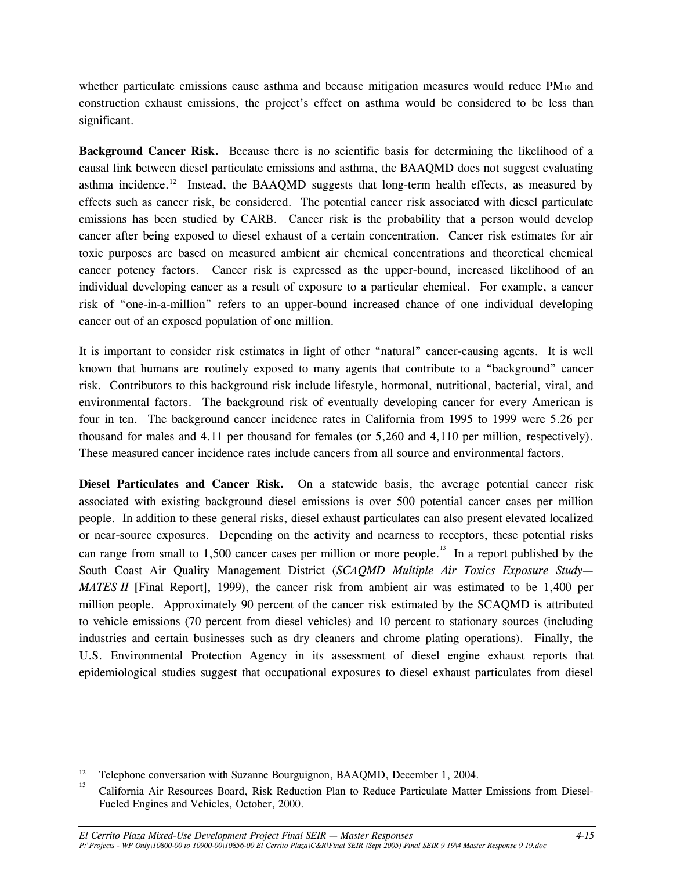whether particulate emissions cause asthma and because mitigation measures would reduce PM<sub>10</sub> and construction exhaust emissions, the project's effect on asthma would be considered to be less than significant.

**Background Cancer Risk.**Because there is no scientific basis for determining the likelihood of a causal link between diesel particulate emissions and asthma, the BAAQMD does not suggest evaluating asthma incidence.<sup>12</sup> Instead, the BAAQMD suggests that long-term health effects, as measured by effects such as cancer risk, be considered.The potential cancer risk associated with diesel particulate emissions has been studied by CARB. Cancer risk is the probability that a person would develop cancer after being exposed to diesel exhaust of a certain concentration. Cancer risk estimates for air toxic purposes are based on measured ambient air chemical concentrations and theoretical chemical cancer potency factors. Cancer risk is expressed as the upper-bound, increased likelihood of an individual developing cancer as a result of exposure to a particular chemical. For example, a cancer risk of "one-in-a-million" refers to an upper-bound increased chance of one individual developing cancer out of an exposed population of one million.

It is important to consider risk estimates in light of other "natural" cancer-causing agents. It is well known that humans are routinely exposed to many agents that contribute to a "background" cancer risk. Contributors to this background risk include lifestyle, hormonal, nutritional, bacterial, viral, and environmental factors. The background risk of eventually developing cancer for every American is four in ten. The background cancer incidence rates in California from 1995 to 1999 were 5.26 per thousand for males and 4.11 per thousand for females (or 5,260 and 4,110 per million, respectively). These measured cancer incidence rates include cancers from all source and environmental factors.

**Diesel Particulates and Cancer Risk.** On a statewide basis, the average potential cancer risk associated with existing background diesel emissions is over 500 potential cancer cases per million people. In addition to these general risks, diesel exhaust particulates can also present elevated localized or near-source exposures. Depending on the activity and nearness to receptors, these potential risks can range from small to 1,500 cancer cases per million or more people.<sup>13</sup> In a report published by the South Coast Air Quality Management District (*SCAQMD Multiple Air Toxics Exposure Study— MATES II* [Final Report], 1999), the cancer risk from ambient air was estimated to be 1,400 per million people. Approximately 90 percent of the cancer risk estimated by the SCAQMD is attributed to vehicle emissions (70 percent from diesel vehicles) and 10 percent to stationary sources (including industries and certain businesses such as dry cleaners and chrome plating operations). Finally, the U.S. Environmental Protection Agency in its assessment of diesel engine exhaust reports that epidemiological studies suggest that occupational exposures to diesel exhaust particulates from diesel

<sup>&</sup>lt;sup>12</sup> Telephone conversation with Suzanne Bourguignon, BAAQMD, December 1, 2004.<br><sup>13</sup> California Air Resources Board, Risk Reduction Plan to Reduce Particulate Matter Emissions from Diesel-Fueled Engines and Vehicles, October, 2000.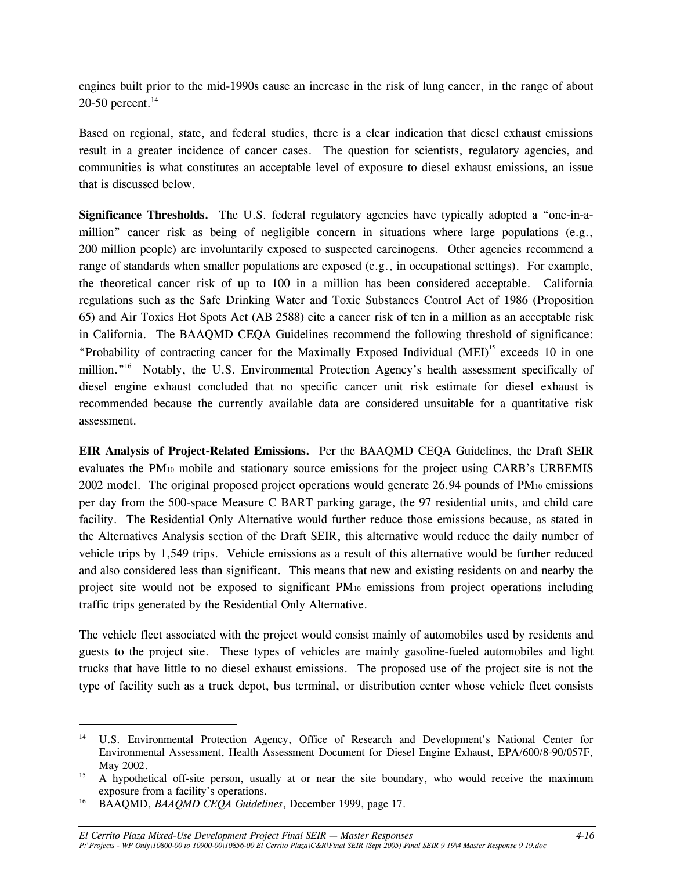engines built prior to the mid-1990s cause an increase in the risk of lung cancer, in the range of about 20-50 percent. $14$ 

Based on regional, state, and federal studies, there is a clear indication that diesel exhaust emissions result in a greater incidence of cancer cases. The question for scientists, regulatory agencies, and communities is what constitutes an acceptable level of exposure to diesel exhaust emissions, an issue that is discussed below.

**Significance Thresholds.** The U.S. federal regulatory agencies have typically adopted a "one-in-amillion" cancer risk as being of negligible concern in situations where large populations (e.g., 200 million people) are involuntarily exposed to suspected carcinogens. Other agencies recommend a range of standards when smaller populations are exposed (e.g., in occupational settings). For example, the theoretical cancer risk of up to 100 in a million has been considered acceptable. California regulations such as the Safe Drinking Water and Toxic Substances Control Act of 1986 (Proposition 65) and Air Toxics Hot Spots Act (AB 2588) cite a cancer risk of ten in a million as an acceptable risk in California. The BAAQMD CEQA Guidelines recommend the following threshold of significance: "Probability of contracting cancer for the Maximally Exposed Individual (MEI)<sup>15</sup> exceeds 10 in one million."<sup>16</sup> Notably, the U.S. Environmental Protection Agency's health assessment specifically of diesel engine exhaust concluded that no specific cancer unit risk estimate for diesel exhaust is recommended because the currently available data are considered unsuitable for a quantitative risk assessment.

**EIR Analysis of Project-Related Emissions.** Per the BAAQMD CEQA Guidelines, the Draft SEIR evaluates the PM10 mobile and stationary source emissions for the project using CARB's URBEMIS 2002 model. The original proposed project operations would generate 26.94 pounds of  $PM_{10}$  emissions per day from the 500-space Measure C BART parking garage, the 97 residential units, and child care facility. The Residential Only Alternative would further reduce those emissions because, as stated in the Alternatives Analysis section of the Draft SEIR, this alternative would reduce the daily number of vehicle trips by 1,549 trips. Vehicle emissions as a result of this alternative would be further reduced and also considered less than significant. This means that new and existing residents on and nearby the project site would not be exposed to significant PM10 emissions from project operations including traffic trips generated by the Residential Only Alternative.

The vehicle fleet associated with the project would consist mainly of automobiles used by residents and guests to the project site. These types of vehicles are mainly gasoline-fueled automobiles and light trucks that have little to no diesel exhaust emissions. The proposed use of the project site is not the type of facility such as a truck depot, bus terminal, or distribution center whose vehicle fleet consists

<sup>&</sup>lt;sup>14</sup> U.S. Environmental Protection Agency, Office of Research and Development's National Center for Environmental Assessment, Health Assessment Document for Diesel Engine Exhaust, EPA/600/8-90/057F, May 2002.<br><sup>15</sup> A hypothetical off-site person, usually at or near the site boundary, who would receive the maximum

exposure from a facility's operations. 16 BAAQMD, *BAAQMD CEQA Guidelines*, December 1999, page 17.